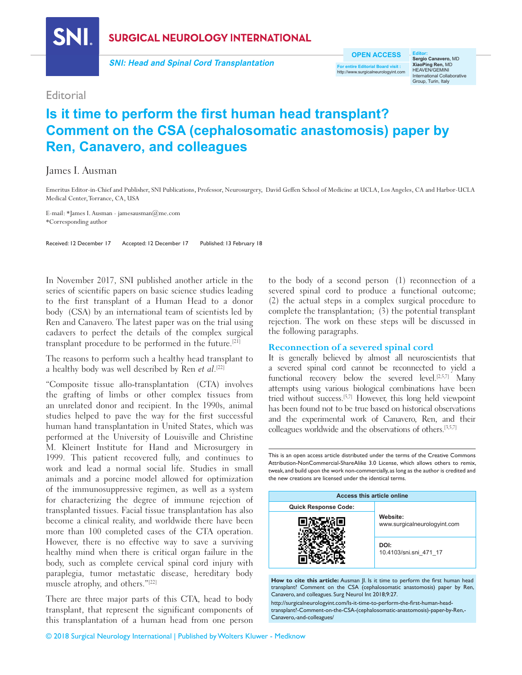**SNI** 

**SURGICAL NEUROLOGY INTERNATIONAL** 

**SNI: Head and Spinal Cord Transplantation**

**OPEN ACCESS**

**For entire Editorial Board visit :** http://www.surgicalneurologyint.com

**Editor: Sergio Canavero,** MD **XiaoPing Ren,** MD HEAVEN/GEMINI International Collaborative Group, Turin, Italy

# **Editorial**

# **Is it time to perform the first human head transplant? Comment on the CSA (cephalosomatic anastomosis) paper by Ren, Canavero, and colleagues**

## James I. Ausman

Emeritus Editor-in-Chief and Publisher, SNI Publications, Professor, Neurosurgery, David Geffen School of Medicine at UCLA, Los Angeles, CA and Harbor-UCLA Medical Center, Torrance, CA, USA

E-mail: \*James I. Ausman - jamesausman@me.com \*Corresponding author

Received: 12 December 17 Accepted: 12 December 17 Published: 13 February 18

In November 2017, SNI published another article in the series of scientific papers on basic science studies leading to the first transplant of a Human Head to a donor body (CSA) by an international team of scientists led by Ren and Canavero. The latest paper was on the trial using cadavers to perfect the details of the complex surgical transplant procedure to be performed in the future.[21]

The reasons to perform such a healthy head transplant to a healthy body was well described by Ren et al.<sup>[22]</sup>

"Composite tissue allo‑transplantation (CTA) involves the grafting of limbs or other complex tissues from an unrelated donor and recipient. In the 1990s, animal studies helped to pave the way for the first successful human hand transplantation in United States, which was performed at the University of Louisville and Christine M. Kleinert Institute for Hand and Microsurgery in 1999. This patient recovered fully, and continues to work and lead a normal social life. Studies in small animals and a porcine model allowed for optimization of the immunosuppressive regimen, as well as a system for characterizing the degree of immune rejection of transplanted tissues. Facial tissue transplantation has also become a clinical reality, and worldwide there have been more than 100 completed cases of the CTA operation. However, there is no effective way to save a surviving healthy mind when there is critical organ failure in the body, such as complete cervical spinal cord injury with paraplegia, tumor metastatic disease, hereditary body muscle atrophy, and others."[22]

There are three major parts of this CTA, head to body transplant, that represent the significant components of this transplantation of a human head from one person to the body of a second person (1) reconnection of a severed spinal cord to produce a functional outcome; (2) the actual steps in a complex surgical procedure to complete the transplantation; (3) the potential transplant rejection. The work on these steps will be discussed in the following paragraphs.

#### **Reconnection of a severed spinal cord**

It is generally believed by almost all neuroscientists that a severed spinal cord cannot be reconnected to yield a functional recovery below the severed level.<sup>[2,5,7]</sup> Many attempts using various biological combinations have been tried without success.[5,7] However, this long held viewpoint has been found not to be true based on historical observations and the experimental work of Canavero, Ren, and their colleagues worldwide and the observations of others.[3,5,7]

This is an open access article distributed under the terms of the Creative Commons Attribution-NonCommercial-ShareAlike 3.0 License, which allows others to remix, tweak, and build upon the work non-commercially, as long as the author is credited and the new creations are licensed under the identical terms.

| Access this article online  |                                          |
|-----------------------------|------------------------------------------|
| <b>Quick Response Code:</b> |                                          |
|                             | Website:<br>www.surgicalneurologyint.com |
|                             | DOI:<br>10.4103/sni.sni 471 17           |

How to cite this article: Ausman Jl. Is it time to perform the first human head transplant? Comment on the CSA (cephalosomatic anastomosis) paper by Ren, Canavero, and colleagues. Surg Neurol Int 2018;9:27.

http://surgicalneurologyint.com/Is-it-time-to-perform-the-first-human-headtransplant?-Comment-on-the-CSA-(cephalosomatic-anastomosis)-paper-by-Ren,- Canavero,-and-colleagues/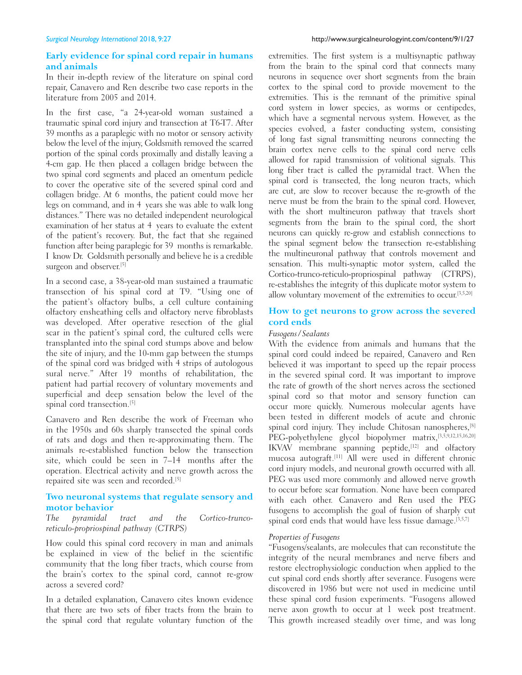### **Early evidence for spinal cord repair in humans and animals**

In their in‑depth review of the literature on spinal cord repair, Canavero and Ren describe two case reports in the literature from 2005 and 2014.

In the first case, "a 24‑year‑old woman sustained a traumatic spinal cord injury and transection at T6‑T7. After 39 months as a paraplegic with no motor or sensory activity below the level of the injury, Goldsmith removed the scarred portion of the spinal cords proximally and distally leaving a 4‑cm gap. He then placed a collagen bridge between the two spinal cord segments and placed an omentum pedicle to cover the operative site of the severed spinal cord and collagen bridge. At 6 months, the patient could move her legs on command, and in 4 years she was able to walk long distances." There was no detailed independent neurological examination of her status at 4 years to evaluate the extent of the patient's recovery. But, the fact that she regained function after being paraplegic for 39 months is remarkable. I know Dr. Goldsmith personally and believe he is a credible surgeon and observer.<sup>[5]</sup>

In a second case, a 38‑year‑old man sustained a traumatic transection of his spinal cord at T9. "Using one of the patient's olfactory bulbs, a cell culture containing olfactory ensheathing cells and olfactory nerve fibroblasts was developed. After operative resection of the glial scar in the patient's spinal cord, the cultured cells were transplanted into the spinal cord stumps above and below the site of injury, and the 10‑mm gap between the stumps of the spinal cord was bridged with 4 strips of autologous sural nerve." After 19 months of rehabilitation, the patient had partial recovery of voluntary movements and superficial and deep sensation below the level of the spinal cord transection.<sup>[5]</sup>

Canavero and Ren describe the work of Freeman who in the 1950s and 60s sharply transected the spinal cords of rats and dogs and then re‑approximating them. The animals re‑established function below the transection site, which could be seen in 7–14 months after the operation. Electrical activity and nerve growth across the repaired site was seen and recorded.[5]

# **Two neuronal systems that regulate sensory and motor behavior**<br>The *pyramidal*

The pyramidal tract and the Cortico-truncoreticulo‑propriospinal pathway (CTRPS)

How could this spinal cord recovery in man and animals be explained in view of the belief in the scientific community that the long fiber tracts, which course from the brain's cortex to the spinal cord, cannot re‑grow across a severed cord?

In a detailed explanation, Canavero cites known evidence that there are two sets of fiber tracts from the brain to the spinal cord that regulate voluntary function of the extremities. The first system is a multisynaptic pathway from the brain to the spinal cord that connects many neurons in sequence over short segments from the brain cortex to the spinal cord to provide movement to the extremities. This is the remnant of the primitive spinal cord system in lower species, as worms or centipedes, which have a segmental nervous system. However, as the species evolved, a faster conducting system, consisting of long fast signal transmitting neurons connecting the brain cortex nerve cells to the spinal cord nerve cells allowed for rapid transmission of volitional signals. This long fiber tract is called the pyramidal tract. When the spinal cord is transected, the long neuron tracts, which are cut, are slow to recover because the re‑growth of the nerve must be from the brain to the spinal cord. However, with the short multineuron pathway that travels short segments from the brain to the spinal cord, the short neurons can quickly re‑grow and establish connections to the spinal segment below the transection re-establishing the multineuronal pathway that controls movement and sensation. This multi-synaptic motor system, called the Cortico-trunco-reticulo-propriospinal pathway (CTRPS), re‑establishes the integrity of this duplicate motor system to allow voluntary movement of the extremities to occur.[3,5,20]

### **How to get neurons to grow across the severed cord ends**

#### *Fusogens/Sealants*

With the evidence from animals and humans that the spinal cord could indeed be repaired, Canavero and Ren believed it was important to speed up the repair process in the severed spinal cord. It was important to improve the rate of growth of the short nerves across the sectioned spinal cord so that motor and sensory function can occur more quickly. Numerous molecular agents have been tested in different models of acute and chronic spinal cord injury. They include Chitosan nanospheres, [8] PEG-polyethylene glycol biopolymer matrix, [3,5,9,12,15,16,20] IKVAV membrane spanning peptide,[12] and olfactory mucosa autograft.[11] All were used in different chronic cord injury models, and neuronal growth occurred with all. PEG was used more commonly and allowed nerve growth to occur before scar formation. None have been compared with each other. Canavero and Ren used the PEG fusogens to accomplish the goal of fusion of sharply cut spinal cord ends that would have less tissue damage.<sup>[3,5,7]</sup>

#### *Properties of Fusogens*

"Fusogens/sealants, are molecules that can reconstitute the integrity of the neural membranes and nerve fibers and restore electrophysiologic conduction when applied to the cut spinal cord ends shortly after severance. Fusogens were discovered in 1986 but were not used in medicine until these spinal cord fusion experiments. "Fusogens allowed nerve axon growth to occur at 1 week post treatment. This growth increased steadily over time, and was long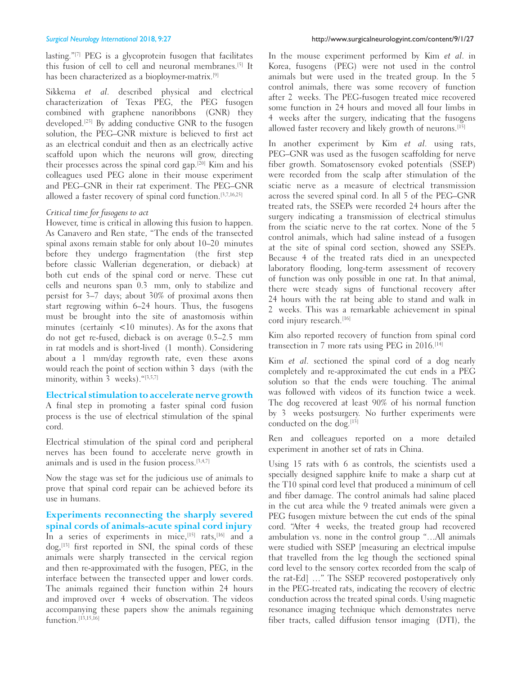lasting."<sup>[7]</sup> PEG is a glycoprotein fusogen that facilitates this fusion of cell to cell and neuronal membranes.[5] It has been characterized as a bioploymer-matrix.<sup>[9]</sup>

Sikkema et al. described physical and electrical characterization of Texas PEG, the PEG fusogen combined with graphene nanoribbons (GNR) they developed.[25] By adding conductive GNR to the fusogen solution, the PEG–GNR mixture is believed to first act as an electrical conduit and then as an electrically active scaffold upon which the neurons will grow, directing their processes across the spinal cord gap.[20] Kim and his colleagues used PEG alone in their mouse experiment and PEG–GNR in their rat experiment. The PEG–GNR allowed a faster recovery of spinal cord function.[3,7,16,25]

#### *Critical time for fusogens to act*

However, time is critical in allowing this fusion to happen. As Canavero and Ren state, "The ends of the transected spinal axons remain stable for only about 10–20 minutes before they undergo fragmentation (the first step before classic Wallerian degeneration, or dieback) at both cut ends of the spinal cord or nerve. These cut cells and neurons span 0.3 mm, only to stabilize and persist for 3–7 days; about 30% of proximal axons then start regrowing within 6–24 hours. Thus, the fusogens must be brought into the site of anastomosis within minutes (certainly <10 minutes). As for the axons that do not get re‑fused, dieback is on average 0.5–2.5 mm in rat models and is short‑lived (1 month). Considering about a 1 mm/day regrowth rate, even these axons would reach the point of section within 3 days (with the minority, within  $3$  weeks). "[3,5,7]

**Electrical stimulation to accelerate nerve growth**

A final step in promoting a faster spinal cord fusion process is the use of electrical stimulation of the spinal cord.

Electrical stimulation of the spinal cord and peripheral nerves has been found to accelerate nerve growth in animals and is used in the fusion process.  $[3,4,7]$ 

Now the stage was set for the judicious use of animals to prove that spinal cord repair can be achieved before its use in humans.

**Experiments reconnecting the sharply severed spinal cords of animals‑acute spinal cord injury** In a series of experiments in mice,  $[15]$  rats,  $[16]$  and a  $\log$ ,<sup>[13]</sup> first reported in SNI, the spinal cords of these animals were sharply transected in the cervical region and then re‑approximated with the fusogen, PEG, in the interface between the transected upper and lower cords. The animals regained their function within 24 hours and improved over 4 weeks of observation. The videos accompanying these papers show the animals regaining function.<sup>[13,15,16]</sup>

In the mouse experiment performed by Kim et al. in Korea, fusogens (PEG) were not used in the control animals but were used in the treated group. In the 5 control animals, there was some recovery of function after 2 weeks. The PEG-fusogen treated mice recovered some function in 24 hours and moved all four limbs in 4 weeks after the surgery, indicating that the fusogens allowed faster recovery and likely growth of neurons.<sup>[15]</sup>

In another experiment by Kim et al. using rats, PEG–GNR was used as the fusogen scaffolding for nerve fiber growth. Somatosensory evoked potentials (SSEP) were recorded from the scalp after stimulation of the sciatic nerve as a measure of electrical transmission across the severed spinal cord. In all 5 of the PEG–GNR treated rats, the SSEPs were recorded 24 hours after the surgery indicating a transmission of electrical stimulus from the sciatic nerve to the rat cortex. None of the 5 control animals, which had saline instead of a fusogen at the site of spinal cord section, showed any SSEPs. Because 4 of the treated rats died in an unexpected laboratory flooding, long-term assessment of recovery of function was only possible in one rat. In that animal, there were steady signs of functional recovery after 24 hours with the rat being able to stand and walk in 2 weeks. This was a remarkable achievement in spinal cord injury research.<sup>[16]</sup>

Kim also reported recovery of function from spinal cord transection in 7 more rats using PEG in 2016.[14]

Kim et al. sectioned the spinal cord of a dog nearly completely and re‑approximated the cut ends in a PEG solution so that the ends were touching. The animal was followed with videos of its function twice a week. The dog recovered at least 90% of his normal function by 3 weeks postsurgery. No further experiments were conducted on the dog.<sup>[13]</sup>

Ren and colleagues reported on a more detailed experiment in another set of rats in China.

Using 15 rats with 6 as controls, the scientists used a specially designed sapphire knife to make a sharp cut at the T10 spinal cord level that produced a minimum of cell and fiber damage. The control animals had saline placed in the cut area while the 9 treated animals were given a PEG fusogen mixture between the cut ends of the spinal cord. "After 4 weeks, the treated group had recovered ambulation vs. none in the control group "…All animals were studied with SSEP [measuring an electrical impulse that travelled from the leg though the sectioned spinal cord level to the sensory cortex recorded from the scalp of the rat‑Ed] …" The SSEP recovered postoperatively only in the PEG‑treated rats, indicating the recovery of electric conduction across the treated spinal cords. Using magnetic resonance imaging technique which demonstrates nerve fiber tracts, called diffusion tensor imaging (DTI), the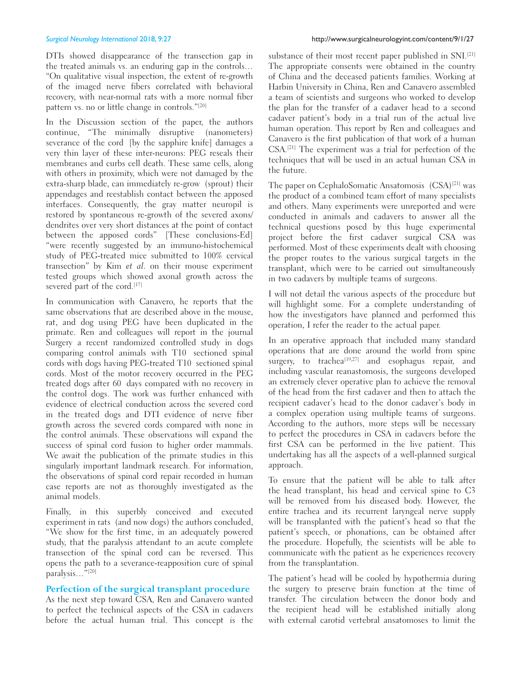DTIs showed disappearance of the transection gap in the treated animals vs. an enduring gap in the controls… "On qualitative visual inspection, the extent of re‑growth of the imaged nerve fibers correlated with behavioral recovery, with near-normal rats with a more normal fiber pattern vs. no or little change in controls."[20]

In the Discussion section of the paper, the authors continue, "The minimally disruptive (nanometers) severance of the cord [by the sapphire knife] damages a very thin layer of these inter‑neurons: PEG reseals their membranes and curbs cell death. These same cells, along with others in proximity, which were not damaged by the extra-sharp blade, can immediately re-grow (sprout) their appendages and reestablish contact between the apposed interfaces. Consequently, the gray matter neuropil is restored by spontaneous re‑growth of the severed axons/ dendrites over very short distances at the point of contact between the apposed cords" [These conclusions-Ed] "were recently suggested by an immuno‑histochemical study of PEG‑treated mice submitted to 100% cervical transection" by Kim et al. on their mouse experiment tested groups which showed axonal growth across the severed part of the cord.<sup>[17]</sup>

In communication with Canavero, he reports that the same observations that are described above in the mouse, rat, and dog using PEG have been duplicated in the primate. Ren and colleagues will report in the journal Surgery a recent randomized controlled study in dogs comparing control animals with T10 sectioned spinal cords with dogs having PEG‑treated T10 sectioned spinal cords. Most of the motor recovery occurred in the PEG treated dogs after 60 days compared with no recovery in the control dogs. The work was further enhanced with evidence of electrical conduction across the severed cord in the treated dogs and DTI evidence of nerve fiber growth across the severed cords compared with none in the control animals. These observations will expand the success of spinal cord fusion to higher order mammals. We await the publication of the primate studies in this singularly important landmark research. For information, the observations of spinal cord repair recorded in human case reports are not as thoroughly investigated as the animal models.

Finally, in this superbly conceived and executed experiment in rats (and now dogs) the authors concluded, "We show for the first time, in an adequately powered study, that the paralysis attendant to an acute complete transection of the spinal cord can be reversed. This opens the path to a severance‑reapposition cure of spinal paralysis…"[20]

#### **Perfection of the surgical transplant procedure**

As the next step toward CSA, Ren and Canavero wanted to perfect the technical aspects of the CSA in cadavers before the actual human trial. This concept is the

substance of their most recent paper published in SNI.<sup>[21]</sup> The appropriate consents were obtained in the country of China and the deceased patients families. Working at Harbin University in China, Ren and Canavero assembled a team of scientists and surgeons who worked to develop the plan for the transfer of a cadaver head to a second cadaver patient's body in a trial run of the actual live human operation. This report by Ren and colleagues and Canavero is the first publication of that work of a human CSA.[21] The experiment was a trial for perfection of the techniques that will be used in an actual human CSA in the future.

The paper on CephaloSomatic Ansatomosis (CSA)<sup>[21]</sup> was the product of a combined team effort of many specialists and others. Many experiments were unreported and were conducted in animals and cadavers to answer all the technical questions posed by this huge experimental project before the first cadaver surgical CSA was performed. Most of these experiments dealt with choosing the proper routes to the various surgical targets in the transplant, which were to be carried out simultaneously in two cadavers by multiple teams of surgeons.

I will not detail the various aspects of the procedure but will highlight some. For a complete understanding of how the investigators have planned and performed this operation, I refer the reader to the actual paper.

In an operative approach that included many standard operations that are done around the world from spine surgery, to trachea<sup>[19,27]</sup> and esophagus repair, and including vascular reanastomosis, the surgeons developed an extremely clever operative plan to achieve the removal of the head from the first cadaver and then to attach the recipient cadaver's head to the donor cadaver's body in a complex operation using multiple teams of surgeons. According to the authors, more steps will be necessary to perfect the procedures in CSA in cadavers before the first CSA can be performed in the live patient. This undertaking has all the aspects of a well-planned surgical approach.

To ensure that the patient will be able to talk after the head transplant, his head and cervical spine to C3 will be removed from his diseased body. However, the entire trachea and its recurrent laryngeal nerve supply will be transplanted with the patient's head so that the patient's speech, or phonations, can be obtained after the procedure. Hopefully, the scientists will be able to communicate with the patient as he experiences recovery from the transplantation.

The patient's head will be cooled by hypothermia during the surgery to preserve brain function at the time of transfer. The circulation between the donor body and the recipient head will be established initially along with external carotid vertebral ansatomoses to limit the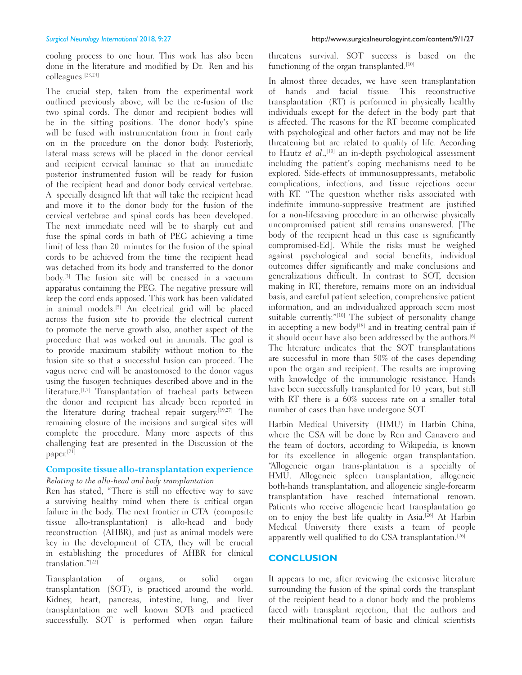cooling process to one hour. This work has also been done in the literature and modified by Dr. Ren and his colleagues.[23,24]

The crucial step, taken from the experimental work outlined previously above, will be the re‑fusion of the two spinal cords. The donor and recipient bodies will be in the sitting positions. The donor body's spine will be fused with instrumentation from in front early on in the procedure on the donor body. Posteriorly, lateral mass screws will be placed in the donor cervical and recipient cervical laminae so that an immediate posterior instrumented fusion will be ready for fusion of the recipient head and donor body cervical vertebrae. A specially designed lift that will take the recipient head and move it to the donor body for the fusion of the cervical vertebrae and spinal cords has been developed. The next immediate need will be to sharply cut and fuse the spinal cords in bath of PEG achieving a time limit of less than 20 minutes for the fusion of the spinal cords to be achieved from the time the recipient head was detached from its body and transferred to the donor body.[3] The fusion site will be encased in a vacuum apparatus containing the PEG. The negative pressure will keep the cord ends apposed. This work has been validated in animal models.<sup>[5]</sup> An electrical grid will be placed across the fusion site to provide the electrical current to promote the nerve growth also, another aspect of the procedure that was worked out in animals. The goal is to provide maximum stability without motion to the fusion site so that a successful fusion can proceed. The vagus nerve end will be anastomosed to the donor vagus using the fusogen techniques described above and in the literature.<sup>[1,7]</sup> Transplantation of tracheal parts between the donor and recipient has already been reported in the literature during tracheal repair surgery.[19,27] The remaining closure of the incisions and surgical sites will complete the procedure. Many more aspects of this challenging feat are presented in the Discussion of the paper.<sup>[21]</sup>

# **Composite tissue allo‑transplantation experience**

## *Relating to the allo‑head and body transplantation*

Ren has stated, "There is still no effective way to save a surviving healthy mind when there is critical organ failure in the body. The next frontier in CTA (composite tissue allo-transplantation) is allo-head and body reconstruction (AHBR), and just as animal models were key in the development of CTA, they will be crucial in establishing the procedures of AHBR for clinical translation."[22]

Transplantation of organs, or solid organ transplantation (SOT), is practiced around the world. Kidney, heart, pancreas, intestine, lung, and liver transplantation are well known SOTs and practiced successfully. SOT is performed when organ failure

threatens survival. SOT success is based on the functioning of the organ transplanted.<sup>[10]</sup>

In almost three decades, we have seen transplantation of hands and facial tissue. This reconstructive transplantation (RT) is performed in physically healthy individuals except for the defect in the body part that is affected. The reasons for the RT become complicated with psychological and other factors and may not be life threatening but are related to quality of life. According to Hautz et al.,<sup>[10]</sup> an in-depth psychological assessment including the patient's coping mechanisms need to be explored. Side‑effects of immunosuppressants, metabolic complications, infections, and tissue rejections occur with RT. "The question whether risks associated with indefinite immuno‑suppressive treatment are justified for a non-lifesaving procedure in an otherwise physically uncompromised patient still remains unanswered. [The body of the recipient head in this case is significantly compromised-Ed]. While the risks must be weighed against psychological and social benefits, individual outcomes differ significantly and make conclusions and generalizations difficult. In contrast to SOT, decision making in RT, therefore, remains more on an individual basis, and careful patient selection, comprehensive patient information, and an individualized approach seem most suitable currently."<sup>[10]</sup> The subject of personality change in accepting a new body<sup>[18]</sup> and in treating central pain if it should occur have also been addressed by the authors.<sup>[6]</sup> The literature indicates that the SOT transplantations are successful in more than 50% of the cases depending upon the organ and recipient. The results are improving with knowledge of the immunologic resistance. Hands have been successfully transplanted for 10 years, but still with RT there is a 60% success rate on a smaller total number of cases than have undergone SOT.

Harbin Medical University (HMU) in Harbin China, where the CSA will be done by Ren and Canavero and the team of doctors, according to Wikipedia, is known for its excellence in allogenic organ transplantation. "Allogeneic organ trans‑plantation is a specialty of HMU. Allogeneic spleen transplantation, allogeneic both-hands transplantation, and allogeneic single-forearm transplantation have reached international renown. Patients who receive allogeneic heart transplantation go on to enjoy the best life quality in Asia.[26] At Harbin Medical University there exists a team of people apparently well qualified to do CSA transplantation.<sup>[26]</sup>

#### **CONCLUSION**

It appears to me, after reviewing the extensive literature surrounding the fusion of the spinal cords the transplant of the recipient head to a donor body and the problems faced with transplant rejection, that the authors and their multinational team of basic and clinical scientists